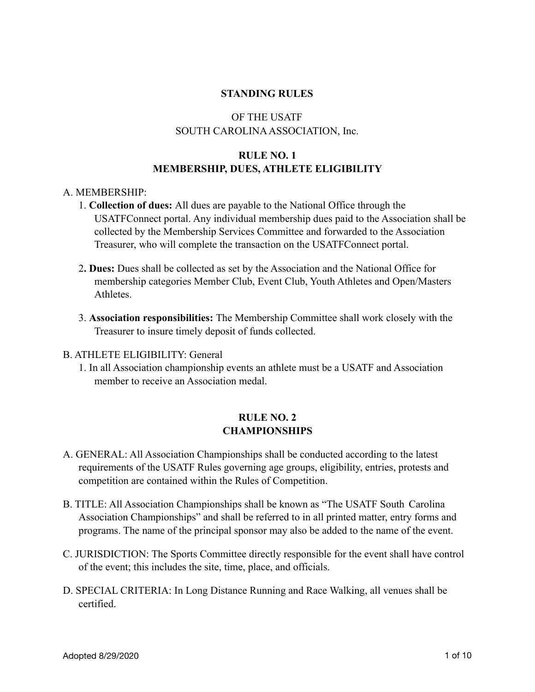### **STANDING RULES**

# OF THE USATF SOUTH CAROLINA ASSOCIATION, Inc.

# **RULE NO. 1 MEMBERSHIP, DUES, ATHLETE ELIGIBILITY**

### A. MEMBERSHIP:

- 1. **Collection of dues:** All dues are payable to the National Office through the USATFConnect portal. Any individual membership dues paid to the Association shall be collected by the Membership Services Committee and forwarded to the Association Treasurer, who will complete the transaction on the USATFConnect portal.
- 2**. Dues:** Dues shall be collected as set by the Association and the National Office for membership categories Member Club, Event Club, Youth Athletes and Open/Masters Athletes.
- 3. **Association responsibilities:** The Membership Committee shall work closely with the Treasurer to insure timely deposit of funds collected.

#### B. ATHLETE ELIGIBILITY: General

 1. In all Association championship events an athlete must be a USATF and Association member to receive an Association medal.

## **RULE NO. 2 CHAMPIONSHIPS**

- A. GENERAL: All Association Championships shall be conducted according to the latest requirements of the USATF Rules governing age groups, eligibility, entries, protests and competition are contained within the Rules of Competition.
- B. TITLE: All Association Championships shall be known as "The USATF South Carolina Association Championships" and shall be referred to in all printed matter, entry forms and programs. The name of the principal sponsor may also be added to the name of the event.
- C. JURISDICTION: The Sports Committee directly responsible for the event shall have control of the event; this includes the site, time, place, and officials.
- D. SPECIAL CRITERIA: In Long Distance Running and Race Walking, all venues shall be certified.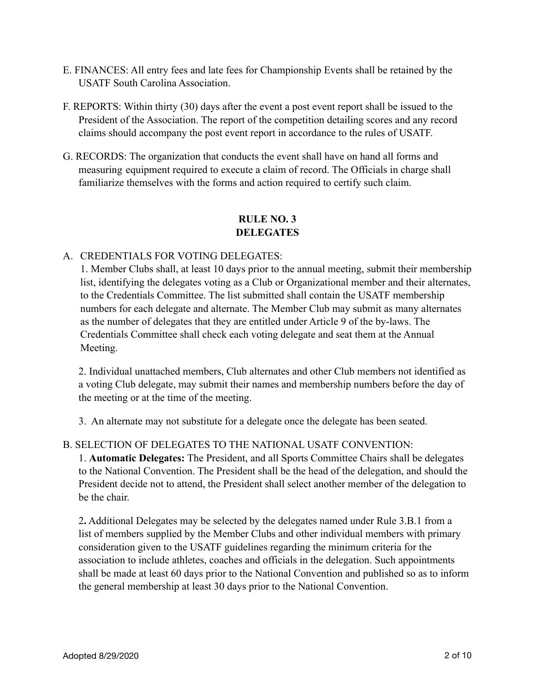- E. FINANCES: All entry fees and late fees for Championship Events shall be retained by the USATF South Carolina Association.
- F. REPORTS: Within thirty (30) days after the event a post event report shall be issued to the President of the Association. The report of the competition detailing scores and any record claims should accompany the post event report in accordance to the rules of USATF.
- G. RECORDS: The organization that conducts the event shall have on hand all forms and measuring equipment required to execute a claim of record. The Officials in charge shall familiarize themselves with the forms and action required to certify such claim.

# **RULE NO. 3 DELEGATES**

# A. CREDENTIALS FOR VOTING DELEGATES:

1. Member Clubs shall, at least 10 days prior to the annual meeting, submit their membership list, identifying the delegates voting as a Club or Organizational member and their alternates, to the Credentials Committee. The list submitted shall contain the USATF membership numbers for each delegate and alternate. The Member Club may submit as many alternates as the number of delegates that they are entitled under Article 9 of the by-laws. The Credentials Committee shall check each voting delegate and seat them at the Annual Meeting.

 2. Individual unattached members, Club alternates and other Club members not identified as a voting Club delegate, may submit their names and membership numbers before the day of the meeting or at the time of the meeting.

3. An alternate may not substitute for a delegate once the delegate has been seated.

## B. SELECTION OF DELEGATES TO THE NATIONAL USATF CONVENTION:

 1. **Automatic Delegates:** The President, and all Sports Committee Chairs shall be delegates to the National Convention. The President shall be the head of the delegation, and should the President decide not to attend, the President shall select another member of the delegation to be the chair.

 2**.** Additional Delegates may be selected by the delegates named under Rule 3.B.1 from a list of members supplied by the Member Clubs and other individual members with primary consideration given to the USATF guidelines regarding the minimum criteria for the association to include athletes, coaches and officials in the delegation. Such appointments shall be made at least 60 days prior to the National Convention and published so as to inform the general membership at least 30 days prior to the National Convention.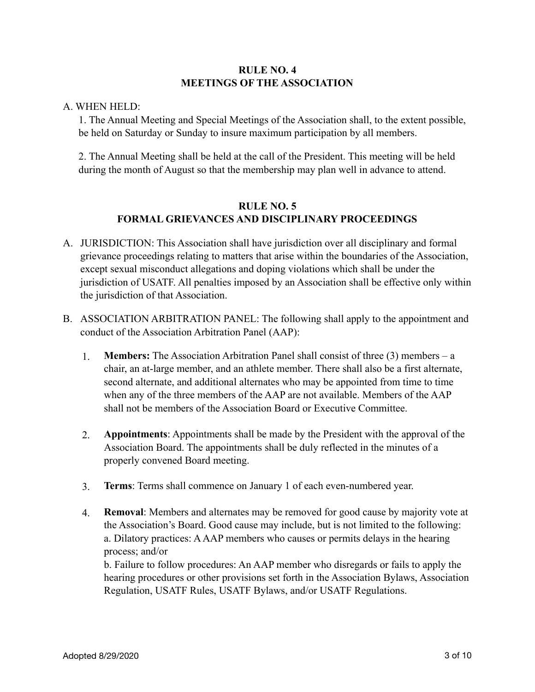## **RULE NO. 4 MEETINGS OF THE ASSOCIATION**

### A. WHEN HELD:

 1. The Annual Meeting and Special Meetings of the Association shall, to the extent possible, be held on Saturday or Sunday to insure maximum participation by all members.

 2. The Annual Meeting shall be held at the call of the President. This meeting will be held during the month of August so that the membership may plan well in advance to attend.

## **RULE NO. 5 FORMAL GRIEVANCES AND DISCIPLINARY PROCEEDINGS**

- A. JURISDICTION: This Association shall have jurisdiction over all disciplinary and formal grievance proceedings relating to matters that arise within the boundaries of the Association, except sexual misconduct allegations and doping violations which shall be under the jurisdiction of USATF. All penalties imposed by an Association shall be effective only within the jurisdiction of that Association.
- B. ASSOCIATION ARBITRATION PANEL: The following shall apply to the appointment and conduct of the Association Arbitration Panel (AAP):
	- 1. **Members:** The Association Arbitration Panel shall consist of three (3) members a chair, an at-large member, and an athlete member. There shall also be a first alternate, second alternate, and additional alternates who may be appointed from time to time when any of the three members of the AAP are not available. Members of the AAP shall not be members of the Association Board or Executive Committee.
	- 2. **Appointments**: Appointments shall be made by the President with the approval of the Association Board. The appointments shall be duly reflected in the minutes of a properly convened Board meeting.
	- 3. **Terms**: Terms shall commence on January 1 of each even-numbered year.
	- 4. **Removal**: Members and alternates may be removed for good cause by majority vote at the Association's Board. Good cause may include, but is not limited to the following: a. Dilatory practices: A AAP members who causes or permits delays in the hearing process; and/or

b. Failure to follow procedures: An AAP member who disregards or fails to apply the hearing procedures or other provisions set forth in the Association Bylaws, Association Regulation, USATF Rules, USATF Bylaws, and/or USATF Regulations.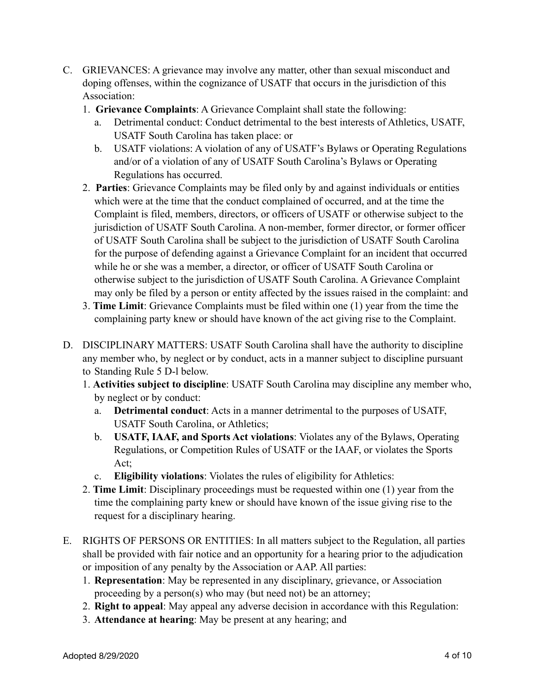- C. GRIEVANCES: A grievance may involve any matter, other than sexual misconduct and doping offenses, within the cognizance of USATF that occurs in the jurisdiction of this Association:
	- 1. **Grievance Complaints**: A Grievance Complaint shall state the following:
		- a. Detrimental conduct: Conduct detrimental to the best interests of Athletics, USATF, USATF South Carolina has taken place: or
		- b. USATF violations: A violation of any of USATF's Bylaws or Operating Regulations and/or of a violation of any of USATF South Carolina's Bylaws or Operating Regulations has occurred.
	- 2. **Parties**: Grievance Complaints may be filed only by and against individuals or entities which were at the time that the conduct complained of occurred, and at the time the Complaint is filed, members, directors, or officers of USATF or otherwise subject to the jurisdiction of USATF South Carolina. A non-member, former director, or former officer of USATF South Carolina shall be subject to the jurisdiction of USATF South Carolina for the purpose of defending against a Grievance Complaint for an incident that occurred while he or she was a member, a director, or officer of USATF South Carolina or otherwise subject to the jurisdiction of USATF South Carolina. A Grievance Complaint may only be filed by a person or entity affected by the issues raised in the complaint: and
	- 3. **Time Limit**: Grievance Complaints must be filed within one (1) year from the time the complaining party knew or should have known of the act giving rise to the Complaint.
- D. DISCIPLINARY MATTERS: USATF South Carolina shall have the authority to discipline any member who, by neglect or by conduct, acts in a manner subject to discipline pursuant to Standing Rule 5 D-l below.
	- 1. **Activities subject to discipline**: USATF South Carolina may discipline any member who, by neglect or by conduct:
		- a. **Detrimental conduct**: Acts in a manner detrimental to the purposes of USATF, USATF South Carolina, or Athletics;
		- b. **USATF, IAAF, and Sports Act violations**: Violates any of the Bylaws, Operating Regulations, or Competition Rules of USATF or the IAAF, or violates the Sports Act;
		- c. **Eligibility violations**: Violates the rules of eligibility for Athletics:
	- 2. **Time Limit**: Disciplinary proceedings must be requested within one (1) year from the time the complaining party knew or should have known of the issue giving rise to the request for a disciplinary hearing.
- E. RIGHTS OF PERSONS OR ENTITIES: In all matters subject to the Regulation, all parties shall be provided with fair notice and an opportunity for a hearing prior to the adjudication or imposition of any penalty by the Association or AAP. All parties:
	- 1. **Representation**: May be represented in any disciplinary, grievance, or Association proceeding by a person(s) who may (but need not) be an attorney;
	- 2. **Right to appeal**: May appeal any adverse decision in accordance with this Regulation:
	- 3. **Attendance at hearing**: May be present at any hearing; and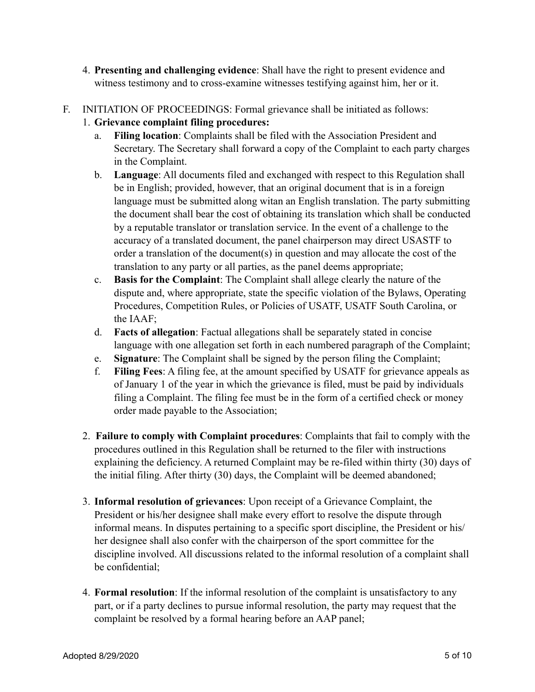- 4. **Presenting and challenging evidence**: Shall have the right to present evidence and witness testimony and to cross-examine witnesses testifying against him, her or it.
- F. INITIATION OF PROCEEDINGS: Formal grievance shall be initiated as follows:
	- 1. **Grievance complaint filing procedures:**
		- a. **Filing location**: Complaints shall be filed with the Association President and Secretary. The Secretary shall forward a copy of the Complaint to each party charges in the Complaint.
		- b. **Language**: All documents filed and exchanged with respect to this Regulation shall be in English; provided, however, that an original document that is in a foreign language must be submitted along witan an English translation. The party submitting the document shall bear the cost of obtaining its translation which shall be conducted by a reputable translator or translation service. In the event of a challenge to the accuracy of a translated document, the panel chairperson may direct USASTF to order a translation of the document(s) in question and may allocate the cost of the translation to any party or all parties, as the panel deems appropriate;
		- c. **Basis for the Complaint**: The Complaint shall allege clearly the nature of the dispute and, where appropriate, state the specific violation of the Bylaws, Operating Procedures, Competition Rules, or Policies of USATF, USATF South Carolina, or the IAAF;
		- d. **Facts of allegation**: Factual allegations shall be separately stated in concise language with one allegation set forth in each numbered paragraph of the Complaint;
		- e. **Signature**: The Complaint shall be signed by the person filing the Complaint;
		- f. **Filing Fees**: A filing fee, at the amount specified by USATF for grievance appeals as of January 1 of the year in which the grievance is filed, must be paid by individuals filing a Complaint. The filing fee must be in the form of a certified check or money order made payable to the Association;
	- 2. **Failure to comply with Complaint procedures**: Complaints that fail to comply with the procedures outlined in this Regulation shall be returned to the filer with instructions explaining the deficiency. A returned Complaint may be re-filed within thirty (30) days of the initial filing. After thirty (30) days, the Complaint will be deemed abandoned;
	- 3. **Informal resolution of grievances**: Upon receipt of a Grievance Complaint, the President or his/her designee shall make every effort to resolve the dispute through informal means. In disputes pertaining to a specific sport discipline, the President or his/ her designee shall also confer with the chairperson of the sport committee for the discipline involved. All discussions related to the informal resolution of a complaint shall be confidential;
	- 4. **Formal resolution**: If the informal resolution of the complaint is unsatisfactory to any part, or if a party declines to pursue informal resolution, the party may request that the complaint be resolved by a formal hearing before an AAP panel;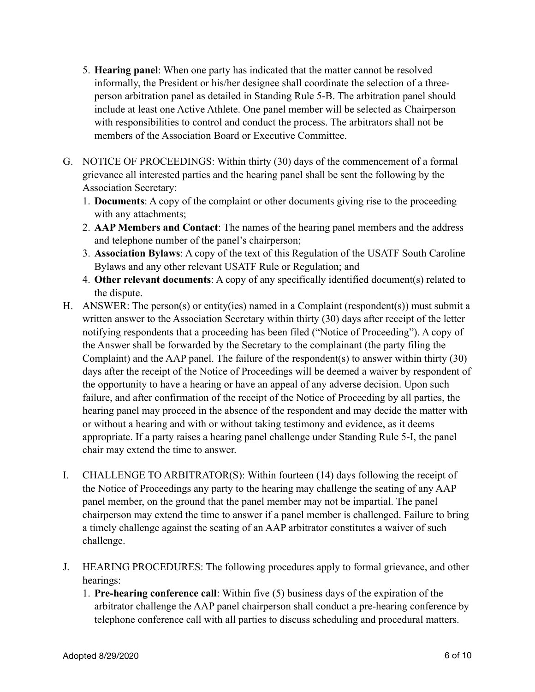- 5. **Hearing panel**: When one party has indicated that the matter cannot be resolved informally, the President or his/her designee shall coordinate the selection of a three person arbitration panel as detailed in Standing Rule 5-B. The arbitration panel should include at least one Active Athlete. One panel member will be selected as Chairperson with responsibilities to control and conduct the process. The arbitrators shall not be members of the Association Board or Executive Committee.
- G. NOTICE OF PROCEEDINGS: Within thirty (30) days of the commencement of a formal grievance all interested parties and the hearing panel shall be sent the following by the Association Secretary:
	- 1. **Documents**: A copy of the complaint or other documents giving rise to the proceeding with any attachments;
	- 2. **AAP Members and Contact**: The names of the hearing panel members and the address and telephone number of the panel's chairperson;
	- 3. **Association Bylaws**: A copy of the text of this Regulation of the USATF South Caroline Bylaws and any other relevant USATF Rule or Regulation; and
	- 4. **Other relevant documents**: A copy of any specifically identified document(s) related to the dispute.
- H. ANSWER: The person(s) or entity(ies) named in a Complaint (respondent(s)) must submit a written answer to the Association Secretary within thirty (30) days after receipt of the letter notifying respondents that a proceeding has been filed ("Notice of Proceeding"). A copy of the Answer shall be forwarded by the Secretary to the complainant (the party filing the Complaint) and the AAP panel. The failure of the respondent(s) to answer within thirty (30) days after the receipt of the Notice of Proceedings will be deemed a waiver by respondent of the opportunity to have a hearing or have an appeal of any adverse decision. Upon such failure, and after confirmation of the receipt of the Notice of Proceeding by all parties, the hearing panel may proceed in the absence of the respondent and may decide the matter with or without a hearing and with or without taking testimony and evidence, as it deems appropriate. If a party raises a hearing panel challenge under Standing Rule 5-I, the panel chair may extend the time to answer.
- I. CHALLENGE TO ARBITRATOR(S): Within fourteen (14) days following the receipt of the Notice of Proceedings any party to the hearing may challenge the seating of any AAP panel member, on the ground that the panel member may not be impartial. The panel chairperson may extend the time to answer if a panel member is challenged. Failure to bring a timely challenge against the seating of an AAP arbitrator constitutes a waiver of such challenge.
- J. HEARING PROCEDURES: The following procedures apply to formal grievance, and other hearings:
	- 1. **Pre-hearing conference call**: Within five (5) business days of the expiration of the arbitrator challenge the AAP panel chairperson shall conduct a pre-hearing conference by telephone conference call with all parties to discuss scheduling and procedural matters.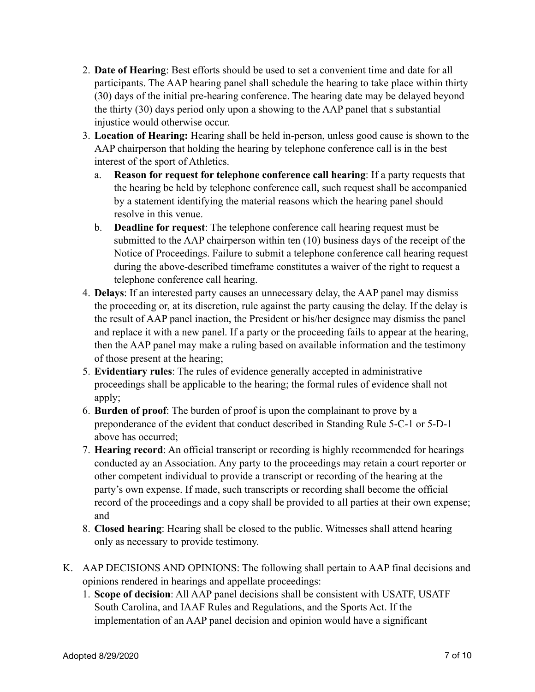- 2. **Date of Hearing**: Best efforts should be used to set a convenient time and date for all participants. The AAP hearing panel shall schedule the hearing to take place within thirty (30) days of the initial pre-hearing conference. The hearing date may be delayed beyond the thirty (30) days period only upon a showing to the AAP panel that s substantial injustice would otherwise occur.
- 3. **Location of Hearing:** Hearing shall be held in-person, unless good cause is shown to the AAP chairperson that holding the hearing by telephone conference call is in the best interest of the sport of Athletics.
	- a. **Reason for request for telephone conference call hearing**: If a party requests that the hearing be held by telephone conference call, such request shall be accompanied by a statement identifying the material reasons which the hearing panel should resolve in this venue.
	- b. **Deadline for request**: The telephone conference call hearing request must be submitted to the AAP chairperson within ten (10) business days of the receipt of the Notice of Proceedings. Failure to submit a telephone conference call hearing request during the above-described timeframe constitutes a waiver of the right to request a telephone conference call hearing.
- 4. **Delays**: If an interested party causes an unnecessary delay, the AAP panel may dismiss the proceeding or, at its discretion, rule against the party causing the delay. If the delay is the result of AAP panel inaction, the President or his/her designee may dismiss the panel and replace it with a new panel. If a party or the proceeding fails to appear at the hearing, then the AAP panel may make a ruling based on available information and the testimony of those present at the hearing;
- 5. **Evidentiary rules**: The rules of evidence generally accepted in administrative proceedings shall be applicable to the hearing; the formal rules of evidence shall not apply;
- 6. **Burden of proof**: The burden of proof is upon the complainant to prove by a preponderance of the evident that conduct described in Standing Rule 5-C-1 or 5-D-1 above has occurred;
- 7. **Hearing record**: An official transcript or recording is highly recommended for hearings conducted ay an Association. Any party to the proceedings may retain a court reporter or other competent individual to provide a transcript or recording of the hearing at the party's own expense. If made, such transcripts or recording shall become the official record of the proceedings and a copy shall be provided to all parties at their own expense; and
- 8. **Closed hearing**: Hearing shall be closed to the public. Witnesses shall attend hearing only as necessary to provide testimony.
- K. AAP DECISIONS AND OPINIONS: The following shall pertain to AAP final decisions and opinions rendered in hearings and appellate proceedings:
	- 1. **Scope of decision**: All AAP panel decisions shall be consistent with USATF, USATF South Carolina, and IAAF Rules and Regulations, and the Sports Act. If the implementation of an AAP panel decision and opinion would have a significant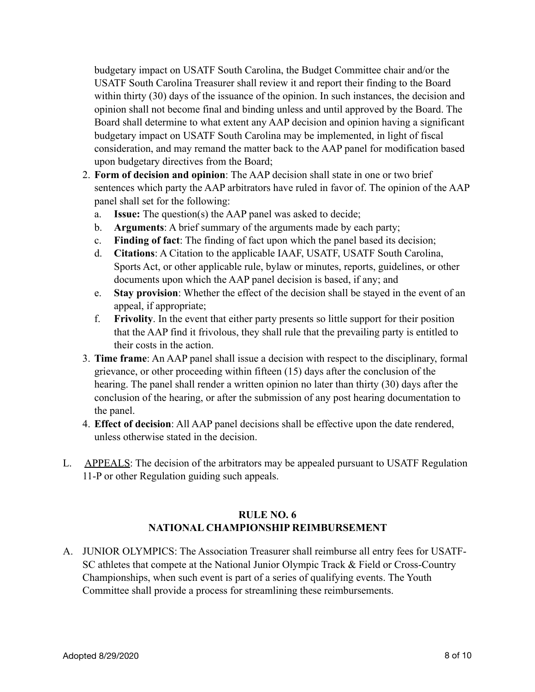budgetary impact on USATF South Carolina, the Budget Committee chair and/or the USATF South Carolina Treasurer shall review it and report their finding to the Board within thirty (30) days of the issuance of the opinion. In such instances, the decision and opinion shall not become final and binding unless and until approved by the Board. The Board shall determine to what extent any AAP decision and opinion having a significant budgetary impact on USATF South Carolina may be implemented, in light of fiscal consideration, and may remand the matter back to the AAP panel for modification based upon budgetary directives from the Board;

- 2. **Form of decision and opinion**: The AAP decision shall state in one or two brief sentences which party the AAP arbitrators have ruled in favor of. The opinion of the AAP panel shall set for the following:
	- a. **Issue:** The question(s) the AAP panel was asked to decide;
	- b. **Arguments**: A brief summary of the arguments made by each party;
	- c. **Finding of fact**: The finding of fact upon which the panel based its decision;
	- d. **Citations**: A Citation to the applicable IAAF, USATF, USATF South Carolina, Sports Act, or other applicable rule, bylaw or minutes, reports, guidelines, or other documents upon which the AAP panel decision is based, if any; and
	- e. **Stay provision**: Whether the effect of the decision shall be stayed in the event of an appeal, if appropriate;
	- f. **Frivolity**. In the event that either party presents so little support for their position that the AAP find it frivolous, they shall rule that the prevailing party is entitled to their costs in the action.
- 3. **Time frame**: An AAP panel shall issue a decision with respect to the disciplinary, formal grievance, or other proceeding within fifteen (15) days after the conclusion of the hearing. The panel shall render a written opinion no later than thirty (30) days after the conclusion of the hearing, or after the submission of any post hearing documentation to the panel.
- 4. **Effect of decision**: All AAP panel decisions shall be effective upon the date rendered, unless otherwise stated in the decision.
- L. APPEALS: The decision of the arbitrators may be appealed pursuant to USATF Regulation 11-P or other Regulation guiding such appeals.

# **RULE NO. 6 NATIONAL CHAMPIONSHIP REIMBURSEMENT**

A. JUNIOR OLYMPICS: The Association Treasurer shall reimburse all entry fees for USATF- SC athletes that compete at the National Junior Olympic Track & Field or Cross-Country Championships, when such event is part of a series of qualifying events. The Youth Committee shall provide a process for streamlining these reimbursements.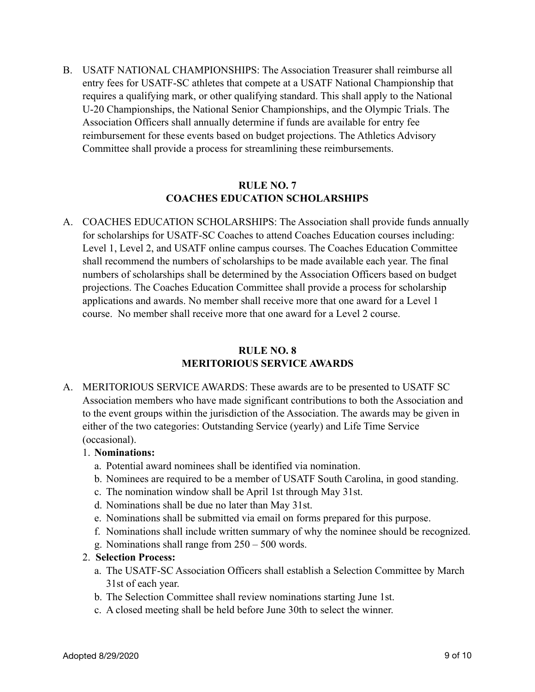B. USATF NATIONAL CHAMPIONSHIPS: The Association Treasurer shall reimburse all entry fees for USATF-SC athletes that compete at a USATF National Championship that requires a qualifying mark, or other qualifying standard. This shall apply to the National U-20 Championships, the National Senior Championships, and the Olympic Trials. The Association Officers shall annually determine if funds are available for entry fee reimbursement for these events based on budget projections. The Athletics Advisory Committee shall provide a process for streamlining these reimbursements.

### **RULE NO. 7 COACHES EDUCATION SCHOLARSHIPS**

A. COACHES EDUCATION SCHOLARSHIPS: The Association shall provide funds annually for scholarships for USATF-SC Coaches to attend Coaches Education courses including: Level 1, Level 2, and USATF online campus courses. The Coaches Education Committee shall recommend the numbers of scholarships to be made available each year. The final numbers of scholarships shall be determined by the Association Officers based on budget projections. The Coaches Education Committee shall provide a process for scholarship applications and awards. No member shall receive more that one award for a Level 1 course. No member shall receive more that one award for a Level 2 course.

### **RULE NO. 8 MERITORIOUS SERVICE AWARDS**

A. MERITORIOUS SERVICE AWARDS: These awards are to be presented to USATF SC Association members who have made significant contributions to both the Association and to the event groups within the jurisdiction of the Association. The awards may be given in either of the two categories: Outstanding Service (yearly) and Life Time Service (occasional).

## 1. **Nominations:**

- a. Potential award nominees shall be identified via nomination.
- b. Nominees are required to be a member of USATF South Carolina, in good standing.
- c. The nomination window shall be April 1st through May 31st.
- d. Nominations shall be due no later than May 31st.
- e. Nominations shall be submitted via email on forms prepared for this purpose.
- f. Nominations shall include written summary of why the nominee should be recognized.
- g. Nominations shall range from 250 500 words.
- 2. **Selection Process:**
	- a. The USATF-SC Association Officers shall establish a Selection Committee by March 31st of each year.
	- b. The Selection Committee shall review nominations starting June 1st.
	- c. A closed meeting shall be held before June 30th to select the winner.